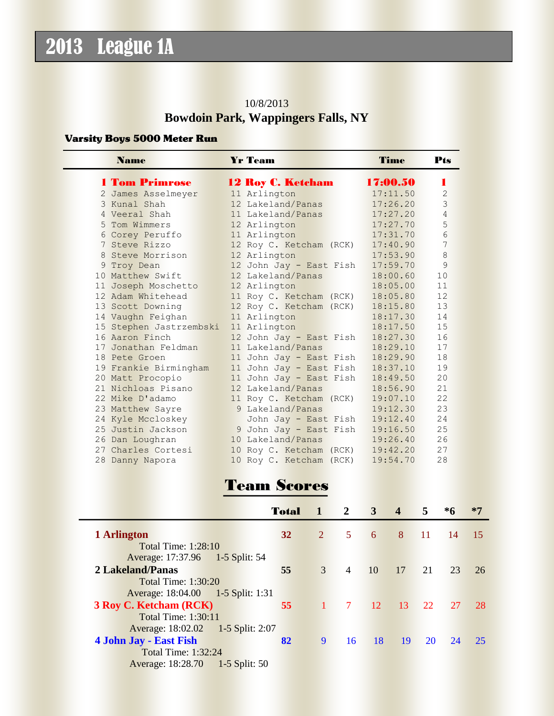#### 10/8/2013 **Bowdoin Park, Wappingers Falls, NY**

#### Varsity Boys 5000 Meter Run

| <b>Name</b>             | <b>Yr Team</b>                      | Time     | Pts            |
|-------------------------|-------------------------------------|----------|----------------|
| <b>1 Tom Primrose</b>   | <b>12 Roy C. Ketcham</b>            | 17:00.50 |                |
| 2 James Asselmeyer      | 11 Arlington                        | 17:11.50 | $\overline{2}$ |
| 3 Kunal Shah            | 12 Lakeland/Panas                   | 17:26.20 | $\overline{3}$ |
| 4 Veeral Shah           | 11 Lakeland/Panas                   | 17:27.20 | 4              |
| 5 Tom Wimmers           | 12 Arlington                        | 17:27.70 | 5              |
| 6 Corey Peruffo         | 11 Arlington                        | 17:31.70 | 6              |
| 7 Steve Rizzo           | 12 Roy C. Ketcham (RCK)             | 17:40.90 | 7              |
| 8 Steve Morrison        | 12 Arlington                        | 17:53.90 | 8              |
| 9 Troy Dean             | 12 John Jay - East Fish             | 17:59.70 | 9              |
| 10 Matthew Swift        | 12 Lakeland/Panas                   | 18:00.60 | 10             |
| 11 Joseph Moschetto     | 12 Arlington                        | 18:05.00 | 11             |
| 12 Adam Whitehead       | 11 Roy C. Ketcham (RCK)             | 18:05.80 | 12             |
| 13 Scott Downing        | 12 Roy C. Ketcham (RCK)             | 18:15.80 | 13             |
| 14 Vaughn Feighan       | 11 Arlington                        | 18:17.30 | 14             |
| 15 Stephen Jastrzembski | 11 Arlington                        | 18:17.50 | 15             |
| 16 Aaron Finch          | 12 John Jay - East Fish             | 18:27.30 | 16             |
| 17 Jonathan Feldman     | 11 Lakeland/Panas                   | 18:29.10 | 17             |
| 18 Pete Groen           | 11 John Jay - East Fish             | 18:29.90 | 18             |
| 19 Frankie Birmingham   | 11 John Jay - East Fish             | 18:37.10 | 19             |
| 20 Matt Procopio        | 11 John Jay - East Fish             | 18:49.50 | 20             |
| 21 Nichloas Pisano      | 12 Lakeland/Panas                   | 18:56.90 | 21             |
| 22 Mike D'adamo         | 11 Roy C. Ketcham (RCK)             | 19:07.10 | 22             |
| 23 Matthew Sayre        | 9 Lakeland/Panas                    | 19:12.30 | 23             |
| 24 Kyle Mccloskey       | John Jay - East Fish                | 19:12.40 | 24             |
| 25 Justin Jackson       | $9$ John Jay - East Fish $19:16.50$ |          | 25             |
| 26 Dan Loughran         | 10 Lakeland/Panas                   | 19:26.40 | 26             |
| 27 Charles Cortesi      | 10 Roy C. Ketcham (RCK)             | 19:42.20 | 27             |
| 28 Danny Napora         | 10 Roy C. Ketcham (RCK)             | 19:54.70 | 28             |

## Team Scores

|                                      | <b>Total</b> | 41             | $\mathbf{2}$   | $\mathbf{3}$ | $\overline{\mathbf{4}}$ | 5.        | $*6$ | $*7$ |
|--------------------------------------|--------------|----------------|----------------|--------------|-------------------------|-----------|------|------|
| 1 Arlington                          | 32           | $\overline{2}$ | 5              | 6            | 8                       | <b>11</b> | 14   | 15   |
| Total Time: $1:28:10$                |              |                |                |              |                         |           |      |      |
| Average: 17:37.96 1-5 Split: 54      |              |                |                |              |                         |           |      |      |
| 2 Lakeland/Panas                     | 55           | 3              | $\overline{4}$ | 10           | 17                      | 21        | 23   | 26   |
| <b>Total Time: 1:30:20</b>           |              |                |                |              |                         |           |      |      |
| Average: 18:04.00  1-5 Split: 1:31   |              |                |                |              |                         |           |      |      |
| <b>3 Roy C. Ketcham (RCK)</b>        | 55           |                | $\tau$         | 12           | $-13$                   | 22        | 27   | 28   |
| <b>Total Time: 1:30:11</b>           |              |                |                |              |                         |           |      |      |
| Average: 18:02.02 1-5 Split: 2:07    |              |                |                |              |                         |           |      |      |
| 4 John Jay - East Fish               | 82           | 9              | 16             | 18           | 19                      | 20        | 24   | 25   |
| <b>Total Time: 1:32:24</b>           |              |                |                |              |                         |           |      |      |
| Average: 18:28.70<br>$1-5$ Split: 50 |              |                |                |              |                         |           |      |      |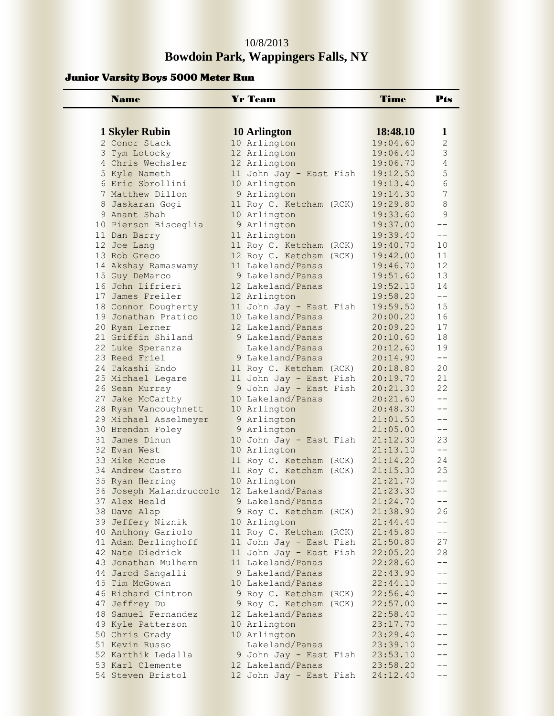### 10/8/2013 **Bowdoin Park, Wappingers Falls, NY**

#### Junior Varsity Boys 5000 Meter Run

| <b>Name</b>                                | <b>Yr Team</b>                          | Time                 | Pts                 |
|--------------------------------------------|-----------------------------------------|----------------------|---------------------|
|                                            |                                         |                      |                     |
|                                            |                                         | 18:48.10             |                     |
| 1 Skyler Rubin                             | 10 Arlington                            | 19:04.60             | 1<br>$\overline{2}$ |
| 2 Conor Stack<br>3 Tym Lotocky             | 10 Arlington<br>12 Arlington            | 19:06.40             | 3                   |
| 4 Chris Wechsler                           | 12 Arlington                            | 19:06.70             | 4                   |
| 5 Kyle Nameth                              | 11 John Jay - East Fish                 | 19:12.50             | 5                   |
| 6 Eric Sbrollini                           | 10 Arlington                            | 19:13.40             | 6                   |
| 7 Matthew Dillon                           | 9 Arlington                             | 19:14.30             | 7                   |
| 8 Jaskaran Gogi                            | 11 Roy C. Ketcham (RCK)                 | 19:29.80             | 8                   |
| 9 Anant Shah                               | 10 Arlington                            | 19:33.60             | 9                   |
| 10 Pierson Bisceglia                       | 9 Arlington                             | 19:37.00             | $-$                 |
| 11 Dan Barry                               | 11 Arlington                            | 19:39.40             | $-$                 |
| 12 Joe Lang                                | 11 Roy C. Ketcham (RCK)                 | 19:40.70             | 10                  |
| 13 Rob Greco                               | 12 Roy C. Ketcham (RCK)                 | 19:42.00             | 11                  |
| 14 Akshay Ramaswamy                        | 11 Lakeland/Panas                       | 19:46.70             | 12                  |
| 15 Guy DeMarco                             | 9 Lakeland/Panas                        | 19:51.60             | 13                  |
| 16 John Lifrieri                           | 12 Lakeland/Panas                       | 19:52.10             | 14                  |
| 17 James Freiler                           | 12 Arlington                            | 19:58.20             | $- -$               |
| 18 Connor Dougherty                        | 11 John Jay - East Fish                 | 19:59.50             | 15                  |
| 19 Jonathan Pratico                        | 10 Lakeland/Panas                       | 20:00.20             | 16                  |
| 20 Ryan Lerner                             | 12 Lakeland/Panas                       | 20:09.20             | 17                  |
| 21 Griffin Shiland                         | 9 Lakeland/Panas                        | 20:10.60             | 18                  |
| 22 Luke Speranza                           | Lakeland/Panas                          | 20:12.60             | 19                  |
| 23 Reed Friel                              | 9 Lakeland/Panas                        | 20:14.90             | $- -$               |
| 24 Takashi Endo                            | 11 Roy C. Ketcham (RCK)                 | 20:18.80             | 20                  |
| 25 Michael Legare                          | 11 John Jay - East Fish                 | 20:19.70             | 21                  |
| 26 Sean Murray                             | 9 John Jay - East Fish                  | 20:21.30             | 22                  |
| 27 Jake McCarthy                           | 10 Lakeland/Panas                       | 20:21.60             | $- -$               |
| 28 Ryan Vancoughnett                       | 10 Arlington                            | 20:48.30             | $- -$               |
| 29 Michael Asselmeyer                      | 9 Arlington                             | 21:01.50             | $-$                 |
| 30 Brendan Foley                           | 9 Arlington                             | 21:05.00             | $- -$               |
| 31 James Dinun                             | 10 John Jay - East Fish                 | 21:12.30             | 23<br>$- -$         |
| 32 Evan West<br>33 Mike Mccue              | 10 Arlington                            | 21:13.10             | 24                  |
| 34 Andrew Castro                           | 11 Roy C. Ketcham (RCK)                 | 21:14.20<br>21:15.30 | 25                  |
|                                            | 11 Roy C. Ketcham (RCK)<br>10 Arlington | 21:21.70             | $- -$               |
| 35 Ryan Herring<br>36 Joseph Malandruccolo | 12 Lakeland/Panas                       | 21:23.30             | $- -$               |
| 37 Alex Heald                              | 9 Lakeland/Panas                        | 21:24.70             | $- -$               |
| 38 Dave Alap                               | 9 Roy C. Ketcham (RCK)                  | 21:38.90             | 26                  |
| 39 Jeffery Niznik                          | 10 Arlington                            | 21:44.40             | $--$                |
| 40 Anthony Gariolo                         | 11 Roy C. Ketcham (RCK)                 | 21:45.80             | $- -$               |
| 41 Adam Berlinghoff                        | 11 John Jay - East Fish                 | 21:50.80             | 27                  |
| 42 Nate Diedrick                           | 11 John Jay - East Fish                 | 22:05.20             | 28                  |
| 43 Jonathan Mulhern                        | 11 Lakeland/Panas                       | 22:28.60             | $- -$               |
| 44 Jarod Sangalli                          | 9 Lakeland/Panas                        | 22:43.90             | --                  |
| 45 Tim McGowan                             | 10 Lakeland/Panas                       | 22:44.10             | --                  |
| 46 Richard Cintron                         | 9 Roy C. Ketcham (RCK)                  | 22:56.40             | --                  |
| 47 Jeffrey Du                              | 9 Roy C. Ketcham (RCK)                  | 22:57.00             |                     |
| 48 Samuel Fernandez                        | 12 Lakeland/Panas                       | 22:58.40             |                     |
| 49 Kyle Patterson                          | 10 Arlington                            | 23:17.70             |                     |
| 50 Chris Grady                             | 10 Arlington                            | 23:29.40             | $- -$               |
| 51 Kevin Russo                             | Lakeland/Panas                          | 23:39.10             | $- -$               |
| 52 Karthik Ledalla                         | 9 John Jay - East Fish                  | 23:53.10             |                     |
| 53 Karl Clemente                           | 12 Lakeland/Panas                       | 23:58.20             |                     |
| 54 Steven Bristol                          | 12 John Jay - East Fish                 | 24:12.40             |                     |